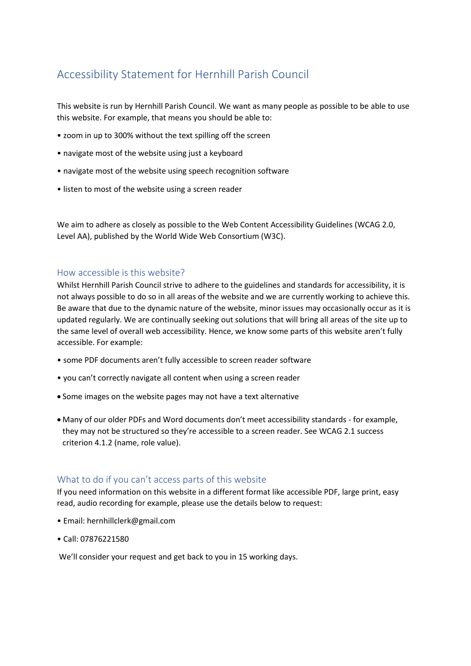# Accessibility Statement for Hernhill Parish Council

This website is run by Hernhill Parish Council. We want as many people as possible to be able to use this website. For example, that means you should be able to:

- zoom in up to 300% without the text spilling off the screen
- navigate most of the website using just a keyboard
- navigate most of the website using speech recognition software
- listen to most of the website using a screen reader

We aim to adhere as closely as possible to the Web Content Accessibility Guidelines (WCAG 2.0, Level AA), published by the World Wide Web Consortium (W3C).

### How accessible is this website?

Whilst Hernhill Parish Council strive to adhere to the guidelines and standards for accessibility, it is not always possible to do so in all areas of the website and we are currently working to achieve this. Be aware that due to the dynamic nature of the website, minor issues may occasionally occur as it is updated regularly. We are continually seeking out solutions that will bring all areas of the site up to the same level of overall web accessibility. Hence, we know some parts of this website aren't fully accessible. For example:

- some PDF documents aren't fully accessible to screen reader software
- you can't correctly navigate all content when using a screen reader
- Some images on the website pages may not have a text alternative
- Many of our older PDFs and Word documents don't meet accessibility standards for example, they may not be structured so they're accessible to a screen reader. See WCAG 2.1 success criterion 4.1.2 (name, role value).

### What to do if you can't access parts of this website

If you need information on this website in a different format like accessible PDF, large print, easy read, audio recording for example, please use the details below to request:

- Email: hernhillclerk@gmail.com
- Call: 07876221580

We'll consider your request and get back to you in 15 working days.